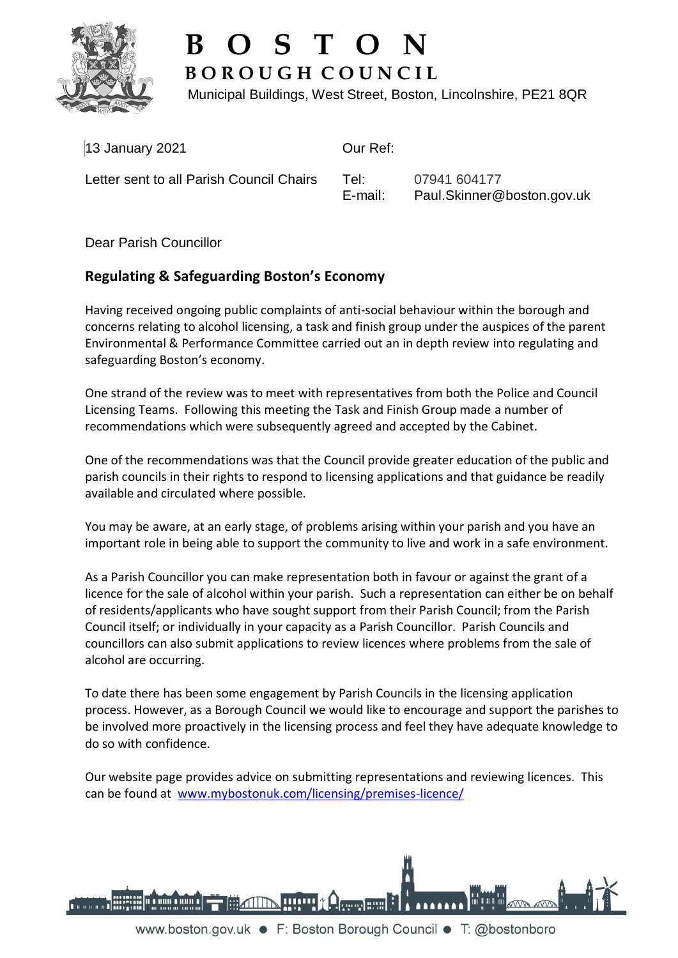

## **B O S T O N B O R O U G H C O U N C I L**

Municipal Buildings, West Street, Boston, Lincolnshire, PE21 8QR

| $13$ January 2021                        | Our Ref:        |                                            |
|------------------------------------------|-----------------|--------------------------------------------|
| Letter sent to all Parish Council Chairs | Tel:<br>E-mail: | 07941 604177<br>Paul.Skinner@boston.gov.uk |

Dear Parish Councillor

## **Regulating & Safeguarding Boston's Economy**

Having received ongoing public complaints of anti-social behaviour within the borough and concerns relating to alcohol licensing, a task and finish group under the auspices of the parent Environmental & Performance Committee carried out an in depth review into regulating and safeguarding Boston's economy.

One strand of the review was to meet with representatives from both the Police and Council Licensing Teams. Following this meeting the Task and Finish Group made a number of recommendations which were subsequently agreed and accepted by the Cabinet.

One of the recommendations was that the Council provide greater education of the public and parish councils in their rights to respond to licensing applications and that guidance be readily available and circulated where possible.

You may be aware, at an early stage, of problems arising within your parish and you have an important role in being able to support the community to live and work in a safe environment.

As a Parish Councillor you can make representation both in favour or against the grant of a licence for the sale of alcohol within your parish. Such a representation can either be on behalf of residents/applicants who have sought support from their Parish Council; from the Parish Council itself; or individually in your capacity as a Parish Councillor. Parish Councils and councillors can also submit applications to review licences where problems from the sale of alcohol are occurring.

To date there has been some engagement by Parish Councils in the licensing application process. However, as a Borough Council we would like to encourage and support the parishes to be involved more proactively in the licensing process and feel they have adequate knowledge to do so with confidence.

Our website page provides advice on submitting representations and reviewing licences. This can be found at [www.mybostonuk.com/licensing/premises-licence/](http://www.mybostonuk.com/licensing/premises-licence/)